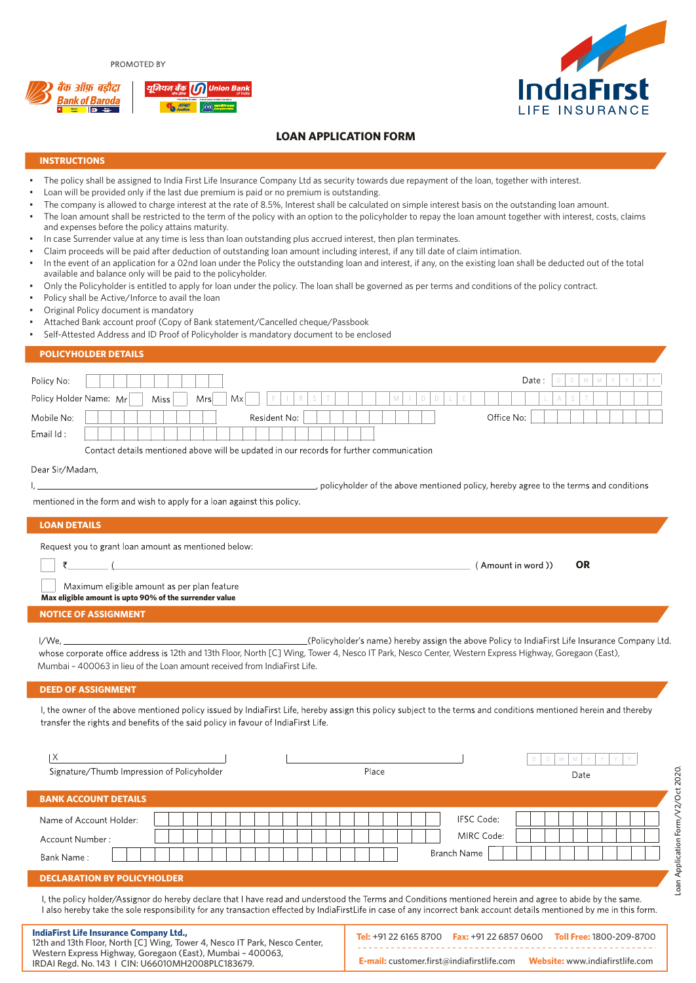PROMOTED BY





**OR**

(Amount in word))

**E-mail:** customer.first@indiafirstlife.com **Website:** www.indiafirstlife.com

# **LOAN APPLICATION FORM**

### **INSTRUCTIONS**

- The policy shall be assigned to India First Life Insurance Company Ltd as security towards due repayment of the loan, together with interest.
- Loan will be provided only if the last due premium is paid or no premium is outstanding.
- The company is allowed to charge interest at the rate of 8.5%, Interest shall be calculated on simple interest basis on the outstanding loan amount.
- The loan amount shall be restricted to the term of the policy with an option to the policyholder to repay the loan amount together with interest, costs, claims and expenses before the policy attains maturity.
- In case Surrender value at any time is less than loan outstanding plus accrued interest, then plan terminates.
- Claim proceeds will be paid after deduction of outstanding loan amount including interest, if any till date of claim intimation.
- In the event of an application for a 02nd loan under the Policy the outstanding loan and interest, if any, on the existing loan shall be deducted out of the total available and balance only will be paid to the policyholder.
- Only the Policyholder is entitled to apply for loan under the policy. The loan shall be governed as per terms and conditions of the policy contract.
- Policy shall be Active/Inforce to avail the loan
- Original Policy document is mandatory
- Attached Bank account proof (Copy of Bank statement/Cancelled cheque/Passbook
- Self-Attested Address and ID Proof of Policyholder is mandatory document to be enclosed

#### **POLICYHOLDER DETAILS**

| Policy No:             |                                                                                          | Date:<br>- M<br>Y. |
|------------------------|------------------------------------------------------------------------------------------|--------------------|
| Policy Holder Name: Mr | R<br>Mx<br>M<br>D<br><b>Miss</b><br>Mrs                                                  |                    |
| Mobile No:             | Resident No:                                                                             | Office No:         |
| Email Id:              |                                                                                          |                    |
|                        | Contact details mentioned above will be updated in our records for further communication |                    |

Dear Sir/Madam

, policyholder of the above mentioned policy, hereby agree to the terms and conditions

mentioned in the form and wish to apply for a loan against this policy.

12th and 13th Floor, North [C] Wing, Tower 4, Nesco IT Park, Nesco Center, Western Express Highway, Goregaon (East), Mumbai – 400063, IRDAI Regd. No. 143 I CIN: U66010MH2008PLC183679.

#### **LOAN DETAILS**

 $\mathbf{L}$ 

Request you to grant loan amount as mentioned below:

₹

**IndiaFirst** 

Maximum eligible amount as per plan feature

**Max eligible amount is upto 90% of the surrender value**

## **NOTICE OF ASSIGNMENT**

 $\sqrt{ }$ 

I/We. (Policyholder's name) hereby assign the above Policy to IndiaFirst Life Insurance Company Ltd. whose corporate office address is 12th and 13th Floor, North [C] Wing, Tower 4, Nesco IT Park, Nesco Center, Western Express Highway, Goregaon (East), Mumbai – 400063 in lieu of the Loan amount received from IndiaFirst Life.

#### **DEED OF ASSIGNMENT**

I, the owner of the above mentioned policy issued by IndiaFirst Life, hereby assign this policy subject to the terms and conditions mentioned herein and thereby transfer the rights and benefits of the said policy in favour of IndiaFirst Life.

| Χ<br>Signature/Thumb Impression of Policyholder          | Place | D<br>D.<br>M.<br>M<br>Date                                                                                                                                                                                                                                                                                                         |
|----------------------------------------------------------|-------|------------------------------------------------------------------------------------------------------------------------------------------------------------------------------------------------------------------------------------------------------------------------------------------------------------------------------------|
| <b>BANK ACCOUNT DETAILS</b>                              |       |                                                                                                                                                                                                                                                                                                                                    |
| Name of Account Holder:<br>Account Number:<br>Bank Name: |       | <b>IFSC Code:</b><br>MIRC Code:<br><b>Branch Name</b>                                                                                                                                                                                                                                                                              |
| <b>DECLARATION BY POLICYHOLDER</b>                       |       |                                                                                                                                                                                                                                                                                                                                    |
|                                                          |       | I, the policy holder/Assignor do hereby declare that I have read and understood the Terms and Conditions mentioned herein and agree to abide by the same.<br>I also hereby take the sole responsibility for any transaction effected by IndiaFirstLife in case of any incorrect bank account details mentioned by me in this form. |

| THEREDY LAKE LITE SOIE RESPONSIDINTY TOF ANY LIANSACHON ENECTED DY MUIAFITSLENE IN CASE OF ANY INCORRECT DANK ACCOUNT UELAINS MENTIONED DY THE IN THIS TON IN |  |                                                                      |
|---------------------------------------------------------------------------------------------------------------------------------------------------------------|--|----------------------------------------------------------------------|
| st Life Insurance Company Ltd.,<br>4.12th Floor, North FCJ Winn, Tarren 4, Nassa IT Dark, Nassa Canton.                                                       |  | Tel: +91 22 6165 8700 Fax: +91 22 6857 0600 Toll Free: 1800-209-8700 |

----------------